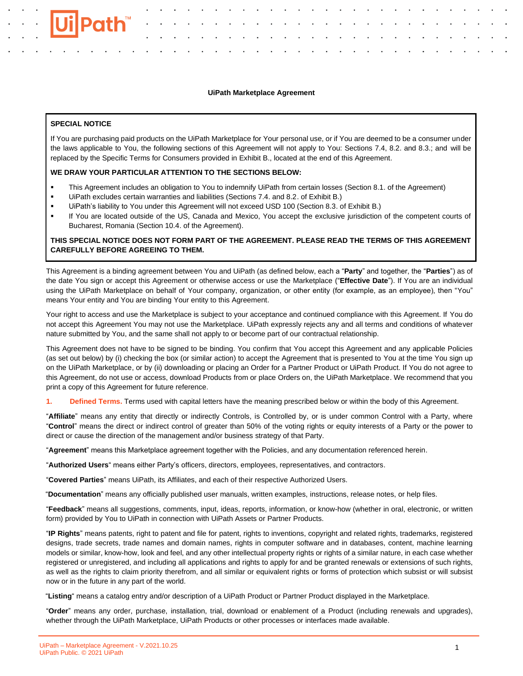## **UiPath Marketplace Agreement**

## **SPECIAL NOTICE**

If You are purchasing paid products on the UiPath Marketplace for Your personal use, or if You are deemed to be a consumer under the laws applicable to You, the following sections of this Agreement will not apply to You: Sections 7.4, 8.2. and 8.3.; and will be replaced by the Specific Terms for Consumers provided in Exhibit B., located at the end of this Agreement.

### **WE DRAW YOUR PARTICULAR ATTENTION TO THE SECTIONS BELOW:**

- This Agreement includes an obligation to You to indemnify UiPath from certain losses (Section 8.1. of the Agreement)
- UiPath excludes certain warranties and liabilities (Sections 7.4. and 8.2. of Exhibit B.)
- UiPath's liability to You under this Agreement will not exceed USD 100 (Section 8.3. of Exhibit B.)
- If You are located outside of the US, Canada and Mexico, You accept the exclusive jurisdiction of the competent courts of Bucharest, Romania (Section 10.4. of the Agreement).

# **THIS SPECIAL NOTICE DOES NOT FORM PART OF THE AGREEMENT. PLEASE READ THE TERMS OF THIS AGREEMENT CAREFULLY BEFORE AGREEING TO THEM.**

This Agreement is a binding agreement between You and UiPath (as defined below, each a "**Party**" and together, the "**Parties**") as of the date You sign or accept this Agreement or otherwise access or use the Marketplace ("**Effective Date**"). If You are an individual using the UiPath Marketplace on behalf of Your company, organization, or other entity (for example, as an employee), then "You" means Your entity and You are binding Your entity to this Agreement.

Your right to access and use the Marketplace is subject to your acceptance and continued compliance with this Agreement. If You do not accept this Agreement You may not use the Marketplace. UiPath expressly rejects any and all terms and conditions of whatever nature submitted by You, and the same shall not apply to or become part of our contractual relationship.

This Agreement does not have to be signed to be binding. You confirm that You accept this Agreement and any applicable Policies (as set out below) by (i) checking the box (or similar action) to accept the Agreement that is presented to You at the time You sign up on the UiPath Marketplace, or by (ii) downloading or placing an Order for a Partner Product or UiPath Product. If You do not agree to this Agreement, do not use or access, download Products from or place Orders on, the UiPath Marketplace. We recommend that you print a copy of this Agreement for future reference.

**1. Defined Terms.** Terms used with capital letters have the meaning prescribed below or within the body of this Agreement.

"**Affiliate**" means any entity that directly or indirectly Controls, is Controlled by, or is under common Control with a Party, where "**Control**" means the direct or indirect control of greater than 50% of the voting rights or equity interests of a Party or the power to direct or cause the direction of the management and/or business strategy of that Party.

"**Agreement**" means this Marketplace agreement together with the Policies, and any documentation referenced herein.

"**Authorized Users**" means either Party's officers, directors, employees, representatives, and contractors.

"**Covered Parties**" means UiPath, its Affiliates, and each of their respective Authorized Users.

"**Documentation**" means any officially published user manuals, written examples, instructions, release notes, or help files.

"**Feedback**" means all suggestions, comments, input, ideas, reports, information, or know-how (whether in oral, electronic, or written form) provided by You to UiPath in connection with UiPath Assets or Partner Products.

"**IP Rights**" means patents, right to patent and file for patent, rights to inventions, copyright and related rights, trademarks, registered designs, trade secrets, trade names and domain names, rights in computer software and in databases, content, machine learning models or similar, know-how, look and feel, and any other intellectual property rights or rights of a similar nature, in each case whether registered or unregistered, and including all applications and rights to apply for and be granted renewals or extensions of such rights, as well as the rights to claim priority therefrom, and all similar or equivalent rights or forms of protection which subsist or will subsist now or in the future in any part of the world.

"**Listing**" means a catalog entry and/or description of a UiPath Product or Partner Product displayed in the Marketplace.

"**Order**" means any order, purchase, installation, trial, download or enablement of a Product (including renewals and upgrades), whether through the UiPath Marketplace, UiPath Products or other processes or interfaces made available.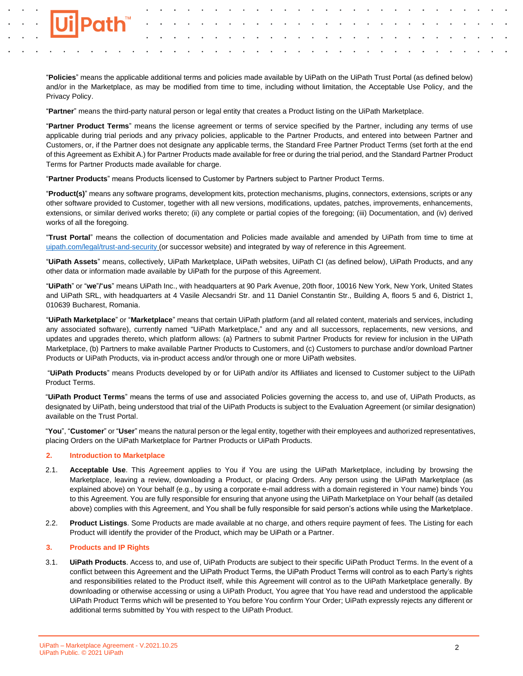

"**Policies**" means the applicable additional terms and policies made available by UiPath on the UiPath Trust Portal (as defined below) and/or in the Marketplace, as may be modified from time to time, including without limitation, the Acceptable Use Policy, and the Privacy Policy.

"**Partner**" means the third-party natural person or legal entity that creates a Product listing on the UiPath Marketplace.

"**Partner Product Terms**" means the license agreement or terms of service specified by the Partner, including any terms of use applicable during trial periods and any privacy policies, applicable to the Partner Products, and entered into between Partner and Customers, or, if the Partner does not designate any applicable terms, the Standard Free Partner Product Terms (set forth at the end of this Agreement as Exhibit A.) for Partner Products made available for free or during the trial period, and the Standard Partner Product Terms for Partner Products made available for charge.

"**Partner Products**" means Products licensed to Customer by Partners subject to Partner Product Terms.

"**Product(s)**" means any software programs, development kits, protection mechanisms, plugins, connectors, extensions, scripts or any other software provided to Customer, together with all new versions, modifications, updates, patches, improvements, enhancements, extensions, or similar derived works thereto; (ii) any complete or partial copies of the foregoing; (iii) Documentation, and (iv) derived works of all the foregoing.

"**Trust Portal**" means the collection of documentation and Policies made available and amended by UiPath from time to time at [uipath.com/legal/trust-and-security](http://uipath.com/legal/trust-and-security) (or successor website) and integrated by way of reference in this Agreement.

"**UiPath Assets**" means, collectively, UiPath Marketplace, UiPath websites, UiPath CI (as defined below), UiPath Products, and any other data or information made available by UiPath for the purpose of this Agreement.

"**UiPath**" or "**we**"**/**"**us**" means UiPath Inc., with headquarters at 90 Park Avenue, 20th floor, 10016 New York, New York, United States and UiPath SRL, with headquarters at 4 Vasile Alecsandri Str. and 11 Daniel Constantin Str., Building A, floors 5 and 6, District 1, 010639 Bucharest, Romania.

"**UiPath Marketplace**" or "**Marketplace**" means that certain UiPath platform (and all related content, materials and services, including any associated software), currently named "UiPath Marketplace," and any and all successors, replacements, new versions, and updates and upgrades thereto, which platform allows: (a) Partners to submit Partner Products for review for inclusion in the UiPath Marketplace, (b) Partners to make available Partner Products to Customers, and (c) Customers to purchase and/or download Partner Products or UiPath Products, via in-product access and/or through one or more UiPath websites.

"**UiPath Products**" means Products developed by or for UiPath and/or its Affiliates and licensed to Customer subject to the UiPath Product Terms.

"**UiPath Product Terms**" means the terms of use and associated Policies governing the access to, and use of, UiPath Products, as designated by UiPath, being understood that trial of the UiPath Products is subject to the Evaluation Agreement (or similar designation) available on the Trust Portal.

"**You**", "**Customer**" or "**User**" means the natural person or the legal entity, together with their employees and authorized representatives, placing Orders on the UiPath Marketplace for Partner Products or UiPath Products.

# **2. Introduction to Marketplace**

- 2.1. **Acceptable Use**. This Agreement applies to You if You are using the UiPath Marketplace, including by browsing the Marketplace, leaving a review, downloading a Product, or placing Orders. Any person using the UiPath Marketplace (as explained above) on Your behalf (e.g., by using a corporate e-mail address with a domain registered in Your name) binds You to this Agreement. You are fully responsible for ensuring that anyone using the UiPath Marketplace on Your behalf (as detailed above) complies with this Agreement, and You shall be fully responsible for said person's actions while using the Marketplace.
- 2.2. **Product Listings**. Some Products are made available at no charge, and others require payment of fees. The Listing for each Product will identify the provider of the Product, which may be UiPath or a Partner.

# **3. Products and IP Rights**

3.1. **UiPath Products**. Access to, and use of, UiPath Products are subject to their specific UiPath Product Terms. In the event of a conflict between this Agreement and the UiPath Product Terms, the UiPath Product Terms will control as to each Party's rights and responsibilities related to the Product itself, while this Agreement will control as to the UiPath Marketplace generally. By downloading or otherwise accessing or using a UiPath Product, You agree that You have read and understood the applicable UiPath Product Terms which will be presented to You before You confirm Your Order; UiPath expressly rejects any different or additional terms submitted by You with respect to the UiPath Product.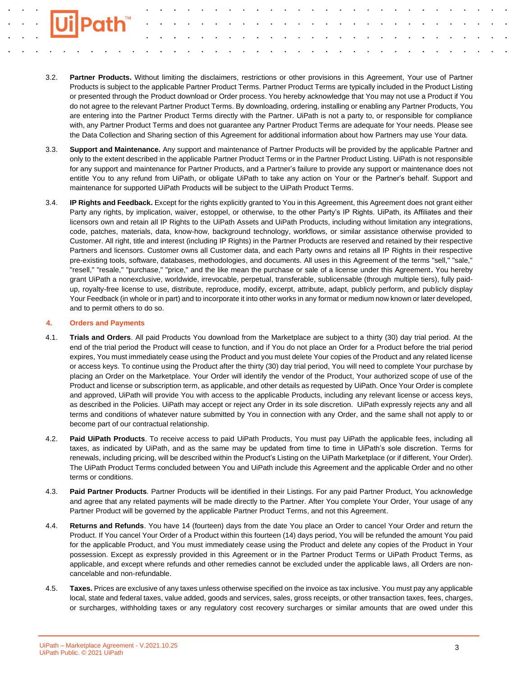- 3.2. **Partner Products.** Without limiting the disclaimers, restrictions or other provisions in this Agreement, Your use of Partner Products is subject to the applicable Partner Product Terms. Partner Product Terms are typically included in the Product Listing or presented through the Product download or Order process. You hereby acknowledge that You may not use a Product if You do not agree to the relevant Partner Product Terms. By downloading, ordering, installing or enabling any Partner Products, You are entering into the Partner Product Terms directly with the Partner. UiPath is not a party to, or responsible for compliance with, any Partner Product Terms and does not guarantee any Partner Product Terms are adequate for Your needs. Please see the Data Collection and Sharing section of this Agreement for additional information about how Partners may use Your data.
- 3.3. **Support and Maintenance.** Any support and maintenance of Partner Products will be provided by the applicable Partner and only to the extent described in the applicable Partner Product Terms or in the Partner Product Listing. UiPath is not responsible for any support and maintenance for Partner Products, and a Partner's failure to provide any support or maintenance does not entitle You to any refund from UiPath, or obligate UiPath to take any action on Your or the Partner's behalf. Support and maintenance for supported UiPath Products will be subject to the UiPath Product Terms.
- 3.4. **IP Rights and Feedback.** Except for the rights explicitly granted to You in this Agreement, this Agreement does not grant either Party any rights, by implication, waiver, estoppel, or otherwise, to the other Party's IP Rights. UiPath, its Affiliates and their licensors own and retain all IP Rights to the UiPath Assets and UiPath Products, including without limitation any integrations, code, patches, materials, data, know-how, background technology, workflows, or similar assistance otherwise provided to Customer. All right, title and interest (including IP Rights) in the Partner Products are reserved and retained by their respective Partners and licensors. Customer owns all Customer data, and each Party owns and retains all IP Rights in their respective pre-existing tools, software, databases, methodologies, and documents. All uses in this Agreement of the terms "sell," "sale," "resell," "resale," "purchase," "price," and the like mean the purchase or sale of a license under this Agreement**.** You hereby grant UiPath a nonexclusive, worldwide, irrevocable, perpetual, transferable, sublicensable (through multiple tiers), fully paidup, royalty-free license to use, distribute, reproduce, modify, excerpt, attribute, adapt, publicly perform, and publicly display Your Feedback (in whole or in part) and to incorporate it into other works in any format or medium now known or later developed, and to permit others to do so.

#### **4. Orders and Payments**

- 4.1. **Trials and Orders**. All paid Products You download from the Marketplace are subject to a thirty (30) day trial period. At the end of the trial period the Product will cease to function, and if You do not place an Order for a Product before the trial period expires, You must immediately cease using the Product and you must delete Your copies of the Product and any related license or access keys. To continue using the Product after the thirty (30) day trial period, You will need to complete Your purchase by placing an Order on the Marketplace. Your Order will identify the vendor of the Product, Your authorized scope of use of the Product and license or subscription term, as applicable, and other details as requested by UiPath. Once Your Order is complete and approved, UiPath will provide You with access to the applicable Products, including any relevant license or access keys, as described in the Policies. UiPath may accept or reject any Order in its sole discretion. UiPath expressly rejects any and all terms and conditions of whatever nature submitted by You in connection with any Order, and the same shall not apply to or become part of our contractual relationship.
- 4.2. **Paid UiPath Products**. To receive access to paid UiPath Products, You must pay UiPath the applicable fees, including all taxes, as indicated by UiPath, and as the same may be updated from time to time in UiPath's sole discretion. Terms for renewals, including pricing, will be described within the Product's Listing on the UiPath Marketplace (or if different, Your Order). The UiPath Product Terms concluded between You and UiPath include this Agreement and the applicable Order and no other terms or conditions.
- 4.3. **Paid Partner Products**. Partner Products will be identified in their Listings. For any paid Partner Product, You acknowledge and agree that any related payments will be made directly to the Partner. After You complete Your Order, Your usage of any Partner Product will be governed by the applicable Partner Product Terms, and not this Agreement.
- 4.4. **Returns and Refunds**. You have 14 (fourteen) days from the date You place an Order to cancel Your Order and return the Product. If You cancel Your Order of a Product within this fourteen (14) days period, You will be refunded the amount You paid for the applicable Product, and You must immediately cease using the Product and delete any copies of the Product in Your possession. Except as expressly provided in this Agreement or in the Partner Product Terms or UiPath Product Terms, as applicable, and except where refunds and other remedies cannot be excluded under the applicable laws, all Orders are noncancelable and non-refundable.
- 4.5. **Taxes.** Prices are exclusive of any taxes unless otherwise specified on the invoice as tax inclusive. You must pay any applicable local, state and federal taxes, value added, goods and services, sales, gross receipts, or other transaction taxes, fees, charges, or surcharges, withholding taxes or any regulatory cost recovery surcharges or similar amounts that are owed under this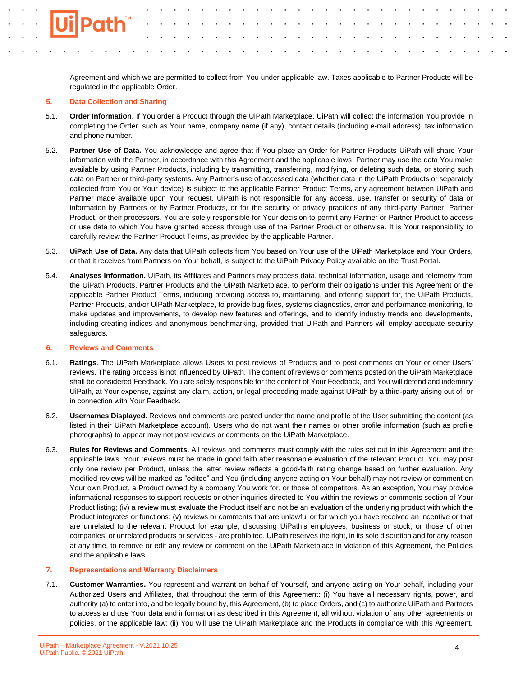Agreement and which we are permitted to collect from You under applicable law. Taxes applicable to Partner Products will be regulated in the applicable Order.

## **5. Data Collection and Sharing**

- 5.1. **Order Information**. If You order a Product through the UiPath Marketplace, UiPath will collect the information You provide in completing the Order, such as Your name, company name (if any), contact details (including e-mail address), tax information and phone number.
- 5.2. **Partner Use of Data.** You acknowledge and agree that if You place an Order for Partner Products UiPath will share Your information with the Partner, in accordance with this Agreement and the applicable laws. Partner may use the data You make available by using Partner Products, including by transmitting, transferring, modifying, or deleting such data, or storing such data on Partner or third-party systems. Any Partner's use of accessed data (whether data in the UiPath Products or separately collected from You or Your device) is subject to the applicable Partner Product Terms, any agreement between UiPath and Partner made available upon Your request. UiPath is not responsible for any access, use, transfer or security of data or information by Partners or by Partner Products, or for the security or privacy practices of any third-party Partner, Partner Product, or their processors. You are solely responsible for Your decision to permit any Partner or Partner Product to access or use data to which You have granted access through use of the Partner Product or otherwise. It is Your responsibility to carefully review the Partner Product Terms, as provided by the applicable Partner.
- 5.3. **UiPath Use of Data.** Any data that UiPath collects from You based on Your use of the UiPath Marketplace and Your Orders, or that it receives from Partners on Your behalf, is subject to the UiPath Privacy Policy available on the Trust Portal.
- 5.4. **Analyses Information.** UiPath, its Affiliates and Partners may process data, technical information, usage and telemetry from the UiPath Products, Partner Products and the UiPath Marketplace, to perform their obligations under this Agreement or the applicable Partner Product Terms, including providing access to, maintaining, and offering support for, the UiPath Products, Partner Products, and/or UiPath Marketplace, to provide bug fixes, systems diagnostics, error and performance monitoring, to make updates and improvements, to develop new features and offerings, and to identify industry trends and developments, including creating indices and anonymous benchmarking, provided that UiPath and Partners will employ adequate security safeguards.

#### **6. Reviews and Comments**

- 6.1. **Ratings**. The UiPath Marketplace allows Users to post reviews of Products and to post comments on Your or other Users' reviews. The rating process is not influenced by UiPath. The content of reviews or comments posted on the UiPath Marketplace shall be considered Feedback. You are solely responsible for the content of Your Feedback, and You will defend and indemnify UiPath, at Your expense, against any claim, action, or legal proceeding made against UiPath by a third-party arising out of, or in connection with Your Feedback.
- 6.2. **Usernames Displayed.** Reviews and comments are posted under the name and profile of the User submitting the content (as listed in their UiPath Marketplace account). Users who do not want their names or other profile information (such as profile photographs) to appear may not post reviews or comments on the UiPath Marketplace.
- 6.3. **Rules for Reviews and Comments.** All reviews and comments must comply with the rules set out in this Agreement and the applicable laws. Your reviews must be made in good faith after reasonable evaluation of the relevant Product. You may post only one review per Product, unless the latter review reflects a good-faith rating change based on further evaluation. Any modified reviews will be marked as "edited" and You (including anyone acting on Your behalf) may not review or comment on Your own Product, a Product owned by a company You work for, or those of competitors. As an exception, You may provide informational responses to support requests or other inquiries directed to You within the reviews or comments section of Your Product listing; (iv) a review must evaluate the Product itself and not be an evaluation of the underlying product with which the Product integrates or functions; (v) reviews or comments that are unlawful or for which you have received an incentive or that are unrelated to the relevant Product for example, discussing UiPath's employees, business or stock, or those of other companies, or unrelated products or services - are prohibited. UiPath reserves the right, in its sole discretion and for any reason at any time, to remove or edit any review or comment on the UiPath Marketplace in violation of this Agreement, the Policies and the applicable laws.

#### **7. Representations and Warranty Disclaimers**

7.1. **Customer Warranties.** You represent and warrant on behalf of Yourself, and anyone acting on Your behalf, including your Authorized Users and Affiliates, that throughout the term of this Agreement: (i) You have all necessary rights, power, and authority (a) to enter into, and be legally bound by, this Agreement, (b) to place Orders, and (c) to authorize UiPath and Partners to access and use Your data and information as described in this Agreement, all without violation of any other agreements or policies, or the applicable law; (ii) You will use the UiPath Marketplace and the Products in compliance with this Agreement,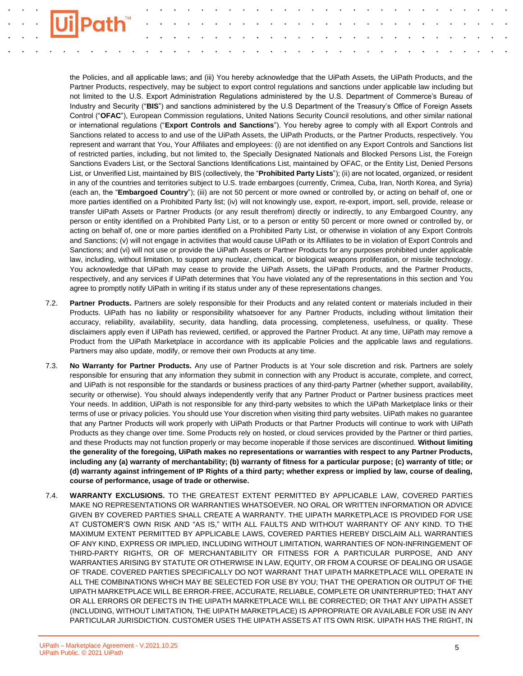the Policies, and all applicable laws; and (iii) You hereby acknowledge that the UiPath Assets, the UiPath Products, and the Partner Products, respectively, may be subject to export control regulations and sanctions under applicable law including but not limited to the U.S. Export Administration Regulations administered by the U.S. Department of Commerce's Bureau of Industry and Security ("**BIS**") and sanctions administered by the U.S Department of the Treasury's Office of Foreign Assets Control ("**OFAC**"), European Commission regulations, United Nations Security Council resolutions, and other similar national or international regulations ("**Export Controls and Sanctions**"). You hereby agree to comply with all Export Controls and Sanctions related to access to and use of the UiPath Assets, the UiPath Products, or the Partner Products, respectively. You represent and warrant that You, Your Affiliates and employees: (i) are not identified on any Export Controls and Sanctions list of restricted parties, including, but not limited to, the Specially Designated Nationals and Blocked Persons List, the Foreign Sanctions Evaders List, or the Sectoral Sanctions Identifications List, maintained by OFAC, or the Entity List, Denied Persons List, or Unverified List, maintained by BIS (collectively, the "**Prohibited Party Lists**"); (ii) are not located, organized, or resident in any of the countries and territories subject to U.S. trade embargoes (currently, Crimea, Cuba, Iran, North Korea, and Syria) (each an, the "**Embargoed Country**"); (iii) are not 50 percent or more owned or controlled by, or acting on behalf of, one or more parties identified on a Prohibited Party list; (iv) will not knowingly use, export, re-export, import, sell, provide, release or transfer UiPath Assets or Partner Products (or any result therefrom) directly or indirectly, to any Embargoed Country, any person or entity identified on a Prohibited Party List, or to a person or entity 50 percent or more owned or controlled by, or acting on behalf of, one or more parties identified on a Prohibited Party List, or otherwise in violation of any Export Controls and Sanctions; (v) will not engage in activities that would cause UiPath or its Affiliates to be in violation of Export Controls and Sanctions; and (vi) will not use or provide the UiPath Assets or Partner Products for any purposes prohibited under applicable law, including, without limitation, to support any nuclear, chemical, or biological weapons proliferation, or missile technology. You acknowledge that UiPath may cease to provide the UiPath Assets, the UiPath Products, and the Partner Products, respectively, and any services if UiPath determines that You have violated any of the representations in this section and You agree to promptly notify UiPath in writing if its status under any of these representations changes.

- 7.2. **Partner Products.** Partners are solely responsible for their Products and any related content or materials included in their Products. UiPath has no liability or responsibility whatsoever for any Partner Products, including without limitation their accuracy, reliability, availability, security, data handling, data processing, completeness, usefulness, or quality. These disclaimers apply even if UiPath has reviewed, certified, or approved the Partner Product. At any time, UiPath may remove a Product from the UiPath Marketplace in accordance with its applicable Policies and the applicable laws and regulations. Partners may also update, modify, or remove their own Products at any time.
- 7.3. **No Warranty for Partner Products.** Any use of Partner Products is at Your sole discretion and risk. Partners are solely responsible for ensuring that any information they submit in connection with any Product is accurate, complete, and correct, and UiPath is not responsible for the standards or business practices of any third-party Partner (whether support, availability, security or otherwise). You should always independently verify that any Partner Product or Partner business practices meet Your needs. In addition, UiPath is not responsible for any third-party websites to which the UiPath Marketplace links or their terms of use or privacy policies. You should use Your discretion when visiting third party websites. UiPath makes no guarantee that any Partner Products will work properly with UiPath Products or that Partner Products will continue to work with UiPath Products as they change over time. Some Products rely on hosted, or cloud services provided by the Partner or third parties, and these Products may not function properly or may become inoperable if those services are discontinued. **Without limiting the generality of the foregoing, UiPath makes no representations or warranties with respect to any Partner Products, including any (a) warranty of merchantability; (b) warranty of fitness for a particular purpose; (c) warranty of title; or (d) warranty against infringement of IP Rights of a third party; whether express or implied by law, course of dealing, course of performance, usage of trade or otherwise.**
- 7.4. **WARRANTY EXCLUSIONS.** TO THE GREATEST EXTENT PERMITTED BY APPLICABLE LAW, COVERED PARTIES MAKE NO REPRESENTATIONS OR WARRANTIES WHATSOEVER. NO ORAL OR WRITTEN INFORMATION OR ADVICE GIVEN BY COVERED PARTIES SHALL CREATE A WARRANTY. THE UIPATH MARKETPLACE IS PROVIDED FOR USE AT CUSTOMER'S OWN RISK AND "AS IS," WITH ALL FAULTS AND WITHOUT WARRANTY OF ANY KIND. TO THE MAXIMUM EXTENT PERMITTED BY APPLICABLE LAWS, COVERED PARTIES HEREBY DISCLAIM ALL WARRANTIES OF ANY KIND, EXPRESS OR IMPLIED, INCLUDING WITHOUT LIMITATION, WARRANTIES OF NON-INFRINGEMENT OF THIRD-PARTY RIGHTS, OR OF MERCHANTABILITY OR FITNESS FOR A PARTICULAR PURPOSE, AND ANY WARRANTIES ARISING BY STATUTE OR OTHERWISE IN LAW, EQUITY, OR FROM A COURSE OF DEALING OR USAGE OF TRADE. COVERED PARTIES SPECIFICALLY DO NOT WARRANT THAT UIPATH MARKETPLACE WILL OPERATE IN ALL THE COMBINATIONS WHICH MAY BE SELECTED FOR USE BY YOU; THAT THE OPERATION OR OUTPUT OF THE UIPATH MARKETPLACE WILL BE ERROR-FREE, ACCURATE, RELIABLE, COMPLETE OR UNINTERRUPTED; THAT ANY OR ALL ERRORS OR DEFECTS IN THE UIPATH MARKETPLACE WILL BE CORRECTED; OR THAT ANY UIPATH ASSET (INCLUDING, WITHOUT LIMITATION, THE UIPATH MARKETPLACE) IS APPROPRIATE OR AVAILABLE FOR USE IN ANY PARTICULAR JURISDICTION. CUSTOMER USES THE UIPATH ASSETS AT ITS OWN RISK. UIPATH HAS THE RIGHT, IN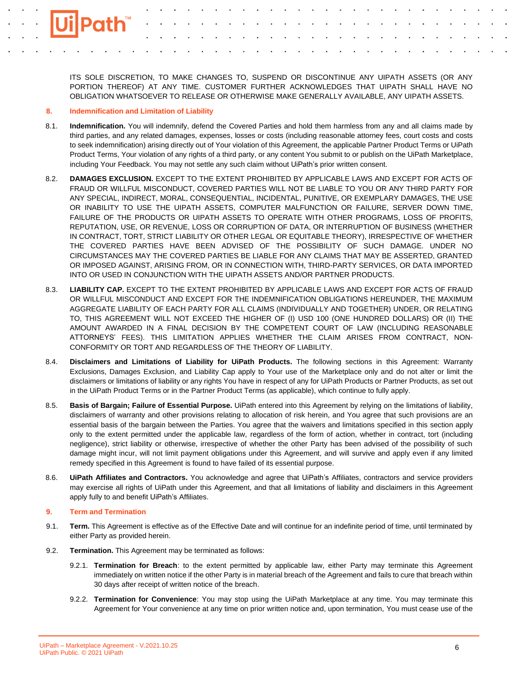ITS SOLE DISCRETION, TO MAKE CHANGES TO, SUSPEND OR DISCONTINUE ANY UIPATH ASSETS (OR ANY PORTION THEREOF) AT ANY TIME. CUSTOMER FURTHER ACKNOWLEDGES THAT UIPATH SHALL HAVE NO OBLIGATION WHATSOEVER TO RELEASE OR OTHERWISE MAKE GENERALLY AVAILABLE, ANY UIPATH ASSETS.

## **8. Indemnification and Limitation of Liability**

- 8.1. **Indemnification.** You will indemnify, defend the Covered Parties and hold them harmless from any and all claims made by third parties, and any related damages, expenses, losses or costs (including reasonable attorney fees, court costs and costs to seek indemnification) arising directly out of Your violation of this Agreement, the applicable Partner Product Terms or UiPath Product Terms, Your violation of any rights of a third party, or any content You submit to or publish on the UiPath Marketplace, including Your Feedback. You may not settle any such claim without UiPath's prior written consent.
- 8.2. **DAMAGES EXCLUSION.** EXCEPT TO THE EXTENT PROHIBITED BY APPLICABLE LAWS AND EXCEPT FOR ACTS OF FRAUD OR WILLFUL MISCONDUCT, COVERED PARTIES WILL NOT BE LIABLE TO YOU OR ANY THIRD PARTY FOR ANY SPECIAL, INDIRECT, MORAL, CONSEQUENTIAL, INCIDENTAL, PUNITIVE, OR EXEMPLARY DAMAGES, THE USE OR INABILITY TO USE THE UIPATH ASSETS, COMPUTER MALFUNCTION OR FAILURE, SERVER DOWN TIME, FAILURE OF THE PRODUCTS OR UIPATH ASSETS TO OPERATE WITH OTHER PROGRAMS, LOSS OF PROFITS, REPUTATION, USE, OR REVENUE, LOSS OR CORRUPTION OF DATA, OR INTERRUPTION OF BUSINESS (WHETHER IN CONTRACT, TORT, STRICT LIABILITY OR OTHER LEGAL OR EQUITABLE THEORY), IRRESPECTIVE OF WHETHER THE COVERED PARTIES HAVE BEEN ADVISED OF THE POSSIBILITY OF SUCH DAMAGE. UNDER NO CIRCUMSTANCES MAY THE COVERED PARTIES BE LIABLE FOR ANY CLAIMS THAT MAY BE ASSERTED, GRANTED OR IMPOSED AGAINST, ARISING FROM, OR IN CONNECTION WITH, THIRD-PARTY SERVICES, OR DATA IMPORTED INTO OR USED IN CONJUNCTION WITH THE UIPATH ASSETS AND/OR PARTNER PRODUCTS.
- 8.3. **LIABILITY CAP.** EXCEPT TO THE EXTENT PROHIBITED BY APPLICABLE LAWS AND EXCEPT FOR ACTS OF FRAUD OR WILLFUL MISCONDUCT AND EXCEPT FOR THE INDEMNIFICATION OBLIGATIONS HEREUNDER, THE MAXIMUM AGGREGATE LIABILITY OF EACH PARTY FOR ALL CLAIMS (INDIVIDUALLY AND TOGETHER) UNDER, OR RELATING TO, THIS AGREEMENT WILL NOT EXCEED THE HIGHER OF (I) USD 100 (ONE HUNDRED DOLLARS) OR (II) THE AMOUNT AWARDED IN A FINAL DECISION BY THE COMPETENT COURT OF LAW (INCLUDING REASONABLE ATTORNEYS' FEES). THIS LIMITATION APPLIES WHETHER THE CLAIM ARISES FROM CONTRACT, NON-CONFORMITY OR TORT AND REGARDLESS OF THE THEORY OF LIABILITY.
- 8.4. **Disclaimers and Limitations of Liability for UiPath Products.** The following sections in this Agreement: Warranty Exclusions, Damages Exclusion, and Liability Cap apply to Your use of the Marketplace only and do not alter or limit the disclaimers or limitations of liability or any rights You have in respect of any for UiPath Products or Partner Products, as set out in the UiPath Product Terms or in the Partner Product Terms (as applicable), which continue to fully apply.
- 8.5. **Basis of Bargain; Failure of Essential Purpose.** UiPath entered into this Agreement by relying on the limitations of liability, disclaimers of warranty and other provisions relating to allocation of risk herein, and You agree that such provisions are an essential basis of the bargain between the Parties. You agree that the waivers and limitations specified in this section apply only to the extent permitted under the applicable law, regardless of the form of action, whether in contract, tort (including negligence), strict liability or otherwise, irrespective of whether the other Party has been advised of the possibility of such damage might incur, will not limit payment obligations under this Agreement, and will survive and apply even if any limited remedy specified in this Agreement is found to have failed of its essential purpose.
- 8.6. **UiPath Affiliates and Contractors.** You acknowledge and agree that UiPath's Affiliates, contractors and service providers may exercise all rights of UiPath under this Agreement, and that all limitations of liability and disclaimers in this Agreement apply fully to and benefit UiPath's Affiliates.

## **9. Term and Termination**

- 9.1. **Term.** This Agreement is effective as of the Effective Date and will continue for an indefinite period of time, until terminated by either Party as provided herein.
- 9.2. **Termination.** This Agreement may be terminated as follows:
	- 9.2.1. **Termination for Breach**: to the extent permitted by applicable law, either Party may terminate this Agreement immediately on written notice if the other Party is in material breach of the Agreement and fails to cure that breach within 30 days after receipt of written notice of the breach.
	- 9.2.2. **Termination for Convenience**: You may stop using the UiPath Marketplace at any time. You may terminate this Agreement for Your convenience at any time on prior written notice and, upon termination, You must cease use of the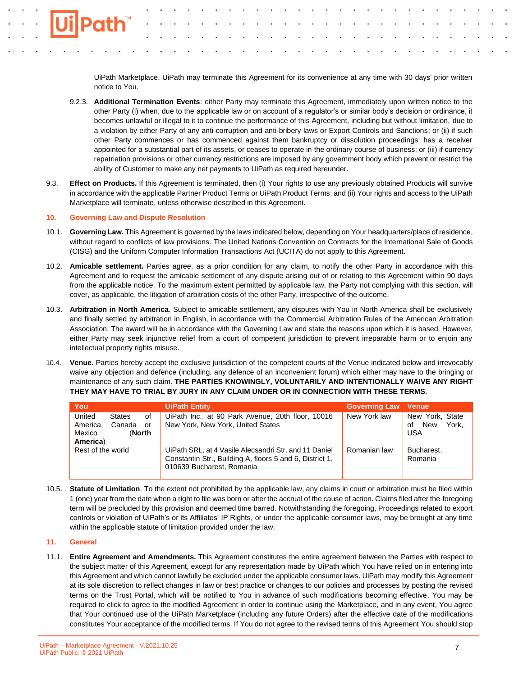UiPath Marketplace. UiPath may terminate this Agreement for its convenience at any time with 30 days' prior written notice to You.

- 9.2.3. **Additional Termination Events**: either Party may terminate this Agreement, immediately upon written notice to the other Party (i) when, due to the applicable law or on account of a regulator's or similar body's decision or ordinance, it becomes unlawful or illegal to it to continue the performance of this Agreement, including but without limitation, due to a violation by either Party of any anti-corruption and anti-bribery laws or Export Controls and Sanctions; or (ii) if such other Party commences or has commenced against them bankruptcy or dissolution proceedings, has a receiver appointed for a substantial part of its assets, or ceases to operate in the ordinary course of business; or (iii) if currency repatriation provisions or other currency restrictions are imposed by any government body which prevent or restrict the ability of Customer to make any net payments to UiPath as required hereunder.
- 9.3. **Effect on Products.** If this Agreement is terminated, then (i) Your rights to use any previously obtained Products will survive in accordance with the applicable Partner Product Terms or UiPath Product Terms; and (ii) Your rights and access to the UiPath Marketplace will terminate, unless otherwise described in this Agreement.

## **10. Governing Law and Dispute Resolution**

- 10.1. **Governing Law.** This Agreement is governed by the laws indicated below, depending on Your headquarters/place of residence, without regard to conflicts of law provisions. The United Nations Convention on Contracts for the International Sale of Goods (CISG) and the Uniform Computer Information Transactions Act (UCITA) do not apply to this Agreement.
- 10.2. **Amicable settlement.** Parties agree, as a prior condition for any claim, to notify the other Party in accordance with this Agreement and to request the amicable settlement of any dispute arising out of or relating to this Agreement within 90 days from the applicable notice. To the maximum extent permitted by applicable law, the Party not complying with this section, will cover, as applicable, the litigation of arbitration costs of the other Party, irrespective of the outcome.
- 10.3. **Arbitration in North America**. Subject to amicable settlement, any disputes with You in North America shall be exclusively and finally settled by arbitration in English, in accordance with the Commercial Arbitration Rules of the American Arbitration Association. The award will be in accordance with the Governing Law and state the reasons upon which it is based. However, either Party may seek injunctive relief from a court of competent jurisdiction to prevent irreparable harm or to enjoin any intellectual property rights misuse.
- 10.4. **Venue.** Parties hereby accept the exclusive jurisdiction of the competent courts of the Venue indicated below and irrevocably waive any objection and defence (including, any defence of an inconvenient forum) which either may have to the bringing or maintenance of any such claim. **THE PARTIES KNOWINGLY, VOLUNTARILY AND INTENTIONALLY WAIVE ANY RIGHT THEY MAY HAVE TO TRIAL BY JURY IN ANY CLAIM UNDER OR IN CONNECTION WITH THESE TERMS.**

| You                                                                                       | <b>UiPath Entity</b>                                                                                                                           | <b>Governing Law Venue</b> |                                                     |
|-------------------------------------------------------------------------------------------|------------------------------------------------------------------------------------------------------------------------------------------------|----------------------------|-----------------------------------------------------|
| United<br><b>States</b><br>0f<br>America,<br>Canada<br>or<br>Mexico<br>(North<br>America) | UiPath Inc., at 90 Park Avenue, 20th floor, 10016<br>New York, New York, United States                                                         | New York law               | New York, State<br>York.<br>New<br>οf<br><b>USA</b> |
| Rest of the world                                                                         | UiPath SRL, at 4 Vasile Alecsandri Str. and 11 Daniel<br>Constantin Str., Building A, floors 5 and 6, District 1,<br>010639 Bucharest, Romania | Romanian law               | Bucharest.<br>Romania                               |

10.5. **Statute of Limitation**. To the extent not prohibited by the applicable law, any claims in court or arbitration must be filed within 1 (one) year from the date when a right to file was born or after the accrual of the cause of action. Claims filed after the foregoing term will be precluded by this provision and deemed time barred. Notwithstanding the foregoing, Proceedings related to export controls or violation of UiPath's or its Affiliates' IP Rights, or under the applicable consumer laws, may be brought at any time within the applicable statute of limitation provided under the law.

#### **11. General**

11.1. **Entire Agreement and Amendments.** This Agreement constitutes the entire agreement between the Parties with respect to the subject matter of this Agreement, except for any representation made by UiPath which You have relied on in entering into this Agreement and which cannot lawfully be excluded under the applicable consumer laws. UiPath may modify this Agreement at its sole discretion to reflect changes in law or best practice or changes to our policies and processes by posting the revised terms on the Trust Portal, which will be notified to You in advance of such modifications becoming effective. You may be required to click to agree to the modified Agreement in order to continue using the Marketplace, and in any event, You agree that Your continued use of the UiPath Marketplace (including any future Orders) after the effective date of the modifications constitutes Your acceptance of the modified terms. If You do not agree to the revised terms of this Agreement You should stop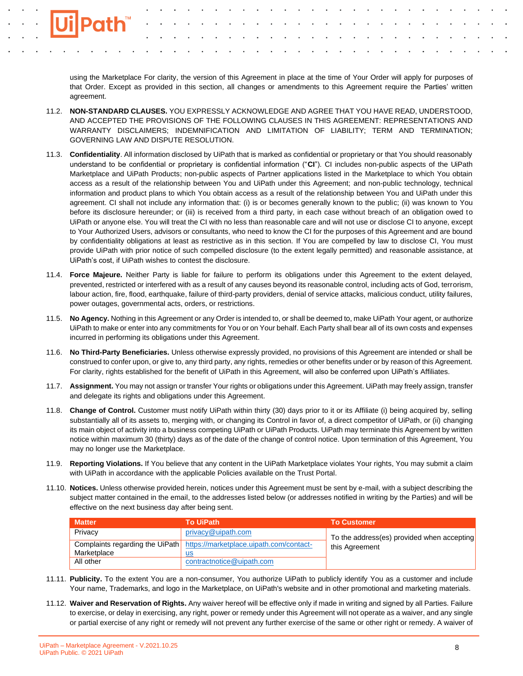using the Marketplace For clarity, the version of this Agreement in place at the time of Your Order will apply for purposes of that Order. Except as provided in this section, all changes or amendments to this Agreement require the Parties' written agreement.

- 11.2. **NON-STANDARD CLAUSES.** YOU EXPRESSLY ACKNOWLEDGE AND AGREE THAT YOU HAVE READ, UNDERSTOOD, AND ACCEPTED THE PROVISIONS OF THE FOLLOWING CLAUSES IN THIS AGREEMENT: REPRESENTATIONS AND WARRANTY DISCLAIMERS; INDEMNIFICATION AND LIMITATION OF LIABILITY; TERM AND TERMINATION; GOVERNING LAW AND DISPUTE RESOLUTION.
- 11.3. **Confidentiality**. All information disclosed by UiPath that is marked as confidential or proprietary or that You should reasonably understand to be confidential or proprietary is confidential information ("**CI**"). CI includes non-public aspects of the UiPath Marketplace and UiPath Products; non-public aspects of Partner applications listed in the Marketplace to which You obtain access as a result of the relationship between You and UiPath under this Agreement; and non-public technology, technical information and product plans to which You obtain access as a result of the relationship between You and UiPath under this agreement. CI shall not include any information that: (i) is or becomes generally known to the public; (ii) was known to You before its disclosure hereunder; or (iii) is received from a third party, in each case without breach of an obligation owed to UiPath or anyone else. You will treat the CI with no less than reasonable care and will not use or disclose CI to anyone, except to Your Authorized Users, advisors or consultants, who need to know the CI for the purposes of this Agreement and are bound by confidentiality obligations at least as restrictive as in this section. If You are compelled by law to disclose CI, You must provide UiPath with prior notice of such compelled disclosure (to the extent legally permitted) and reasonable assistance, at UiPath's cost, if UiPath wishes to contest the disclosure.
- 11.4. **Force Majeure.** Neither Party is liable for failure to perform its obligations under this Agreement to the extent delayed, prevented, restricted or interfered with as a result of any causes beyond its reasonable control, including acts of God, terrorism, labour action, fire, flood, earthquake, failure of third-party providers, denial of service attacks, malicious conduct, utility failures, power outages, governmental acts, orders, or restrictions.
- 11.5. **No Agency.** Nothing in this Agreement or any Order is intended to, or shall be deemed to, make UiPath Your agent, or authorize UiPath to make or enter into any commitments for You or on Your behalf. Each Party shall bear all of its own costs and expenses incurred in performing its obligations under this Agreement.
- 11.6. **No Third-Party Beneficiaries.** Unless otherwise expressly provided, no provisions of this Agreement are intended or shall be construed to confer upon, or give to, any third party, any rights, remedies or other benefits under or by reason of this Agreement. For clarity, rights established for the benefit of UiPath in this Agreement, will also be conferred upon UiPath's Affiliates.
- 11.7. **Assignment.** You may not assign or transfer Your rights or obligations under this Agreement. UiPath may freely assign, transfer and delegate its rights and obligations under this Agreement.
- 11.8. **Change of Control.** Customer must notify UiPath within thirty (30) days prior to it or its Affiliate (i) being acquired by, selling substantially all of its assets to, merging with, or changing its Control in favor of, a direct competitor of UiPath, or (ii) changing its main object of activity into a business competing UiPath or UiPath Products. UiPath may terminate this Agreement by written notice within maximum 30 (thirty) days as of the date of the change of control notice. Upon termination of this Agreement, You may no longer use the Marketplace.
- 11.9. **Reporting Violations.** If You believe that any content in the UiPath Marketplace violates Your rights, You may submit a claim with UiPath in accordance with the applicable Policies available on the Trust Portal.
- 11.10. **Notices.** Unless otherwise provided herein, notices under this Agreement must be sent by e-mail, with a subject describing the subject matter contained in the email, to the addresses listed below (or addresses notified in writing by the Parties) and will be effective on the next business day after being sent.

| <b>Matter</b> | <b>To UiPath</b>                                                        | <b>To Customer</b>                                           |  |
|---------------|-------------------------------------------------------------------------|--------------------------------------------------------------|--|
| Privacy       | privacy@uipath.com                                                      | To the address(es) provided when accepting<br>this Agreement |  |
|               | Complaints regarding the UiPath https://marketplace.uipath.com/contact- |                                                              |  |
| Marketplace   | us                                                                      |                                                              |  |
| All other     | contractnotice@uipath.com                                               |                                                              |  |

- 11.11. **Publicity.** To the extent You are a non-consumer, You authorize UiPath to publicly identify You as a customer and include Your name, Trademarks, and logo in the Marketplace, on UiPath's website and in other promotional and marketing materials.
- 11.12. **Waiver and Reservation of Rights.** Any waiver hereof will be effective only if made in writing and signed by all Parties. Failure to exercise, or delay in exercising, any right, power or remedy under this Agreement will not operate as a waiver, and any single or partial exercise of any right or remedy will not prevent any further exercise of the same or other right or remedy. A waiver of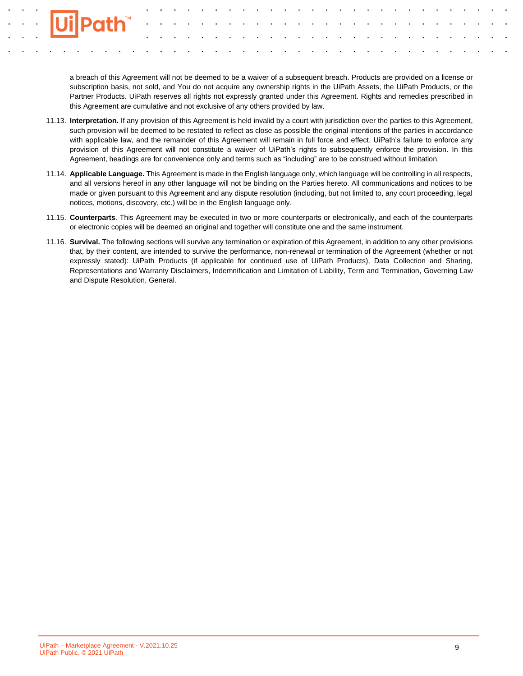a breach of this Agreement will not be deemed to be a waiver of a subsequent breach. Products are provided on a license or subscription basis, not sold, and You do not acquire any ownership rights in the UiPath Assets, the UiPath Products, or the Partner Products. UiPath reserves all rights not expressly granted under this Agreement. Rights and remedies prescribed in this Agreement are cumulative and not exclusive of any others provided by law.

- 11.13. **Interpretation.** If any provision of this Agreement is held invalid by a court with jurisdiction over the parties to this Agreement, such provision will be deemed to be restated to reflect as close as possible the original intentions of the parties in accordance with applicable law, and the remainder of this Agreement will remain in full force and effect. UiPath's failure to enforce any provision of this Agreement will not constitute a waiver of UiPath's rights to subsequently enforce the provision. In this Agreement, headings are for convenience only and terms such as "including" are to be construed without limitation.
- 11.14. **Applicable Language.** This Agreement is made in the English language only, which language will be controlling in all respects, and all versions hereof in any other language will not be binding on the Parties hereto. All communications and notices to be made or given pursuant to this Agreement and any dispute resolution (including, but not limited to, any court proceeding, legal notices, motions, discovery, etc.) will be in the English language only.
- 11.15. **Counterparts**. This Agreement may be executed in two or more counterparts or electronically, and each of the counterparts or electronic copies will be deemed an original and together will constitute one and the same instrument.
- 11.16. **Survival.** The following sections will survive any termination or expiration of this Agreement, in addition to any other provisions that, by their content, are intended to survive the performance, non-renewal or termination of the Agreement (whether or not expressly stated): UiPath Products (if applicable for continued use of UiPath Products), Data Collection and Sharing, Representations and Warranty Disclaimers, Indemnification and Limitation of Liability, Term and Termination, Governing Law and Dispute Resolution, General.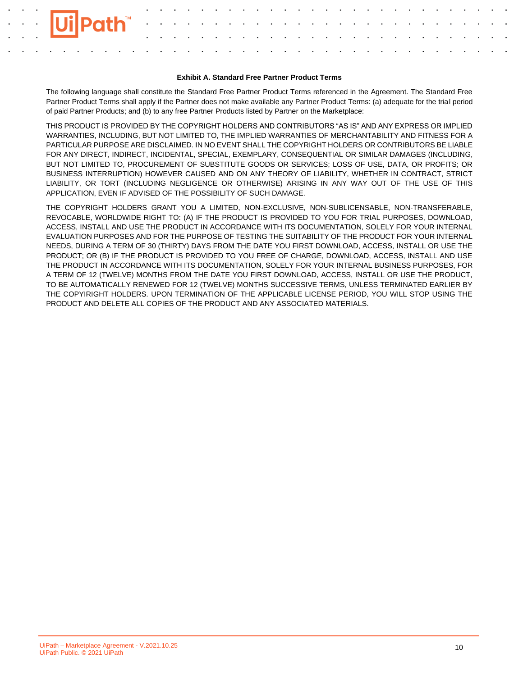# **Exhibit A. Standard Free Partner Product Terms**

The following language shall constitute the Standard Free Partner Product Terms referenced in the Agreement. The Standard Free Partner Product Terms shall apply if the Partner does not make available any Partner Product Terms: (a) adequate for the trial period of paid Partner Products; and (b) to any free Partner Products listed by Partner on the Marketplace:

THIS PRODUCT IS PROVIDED BY THE COPYRIGHT HOLDERS AND CONTRIBUTORS "AS IS" AND ANY EXPRESS OR IMPLIED WARRANTIES, INCLUDING, BUT NOT LIMITED TO, THE IMPLIED WARRANTIES OF MERCHANTABILITY AND FITNESS FOR A PARTICULAR PURPOSE ARE DISCLAIMED. IN NO EVENT SHALL THE COPYRIGHT HOLDERS OR CONTRIBUTORS BE LIABLE FOR ANY DIRECT, INDIRECT, INCIDENTAL, SPECIAL, EXEMPLARY, CONSEQUENTIAL OR SIMILAR DAMAGES (INCLUDING, BUT NOT LIMITED TO, PROCUREMENT OF SUBSTITUTE GOODS OR SERVICES; LOSS OF USE, DATA, OR PROFITS; OR BUSINESS INTERRUPTION) HOWEVER CAUSED AND ON ANY THEORY OF LIABILITY, WHETHER IN CONTRACT, STRICT LIABILITY, OR TORT (INCLUDING NEGLIGENCE OR OTHERWISE) ARISING IN ANY WAY OUT OF THE USE OF THIS APPLICATION, EVEN IF ADVISED OF THE POSSIBILITY OF SUCH DAMAGE.

THE COPYRIGHT HOLDERS GRANT YOU A LIMITED, NON-EXCLUSIVE, NON-SUBLICENSABLE, NON-TRANSFERABLE, REVOCABLE, WORLDWIDE RIGHT TO: (A) IF THE PRODUCT IS PROVIDED TO YOU FOR TRIAL PURPOSES, DOWNLOAD, ACCESS, INSTALL AND USE THE PRODUCT IN ACCORDANCE WITH ITS DOCUMENTATION, SOLELY FOR YOUR INTERNAL EVALUATION PURPOSES AND FOR THE PURPOSE OF TESTING THE SUITABILITY OF THE PRODUCT FOR YOUR INTERNAL NEEDS, DURING A TERM OF 30 (THIRTY) DAYS FROM THE DATE YOU FIRST DOWNLOAD, ACCESS, INSTALL OR USE THE PRODUCT; OR (B) IF THE PRODUCT IS PROVIDED TO YOU FREE OF CHARGE, DOWNLOAD, ACCESS, INSTALL AND USE THE PRODUCT IN ACCORDANCE WITH ITS DOCUMENTATION, SOLELY FOR YOUR INTERNAL BUSINESS PURPOSES, FOR A TERM OF 12 (TWELVE) MONTHS FROM THE DATE YOU FIRST DOWNLOAD, ACCESS, INSTALL OR USE THE PRODUCT, TO BE AUTOMATICALLY RENEWED FOR 12 (TWELVE) MONTHS SUCCESSIVE TERMS, UNLESS TERMINATED EARLIER BY THE COPYIRIGHT HOLDERS. UPON TERMINATION OF THE APPLICABLE LICENSE PERIOD, YOU WILL STOP USING THE PRODUCT AND DELETE ALL COPIES OF THE PRODUCT AND ANY ASSOCIATED MATERIALS.